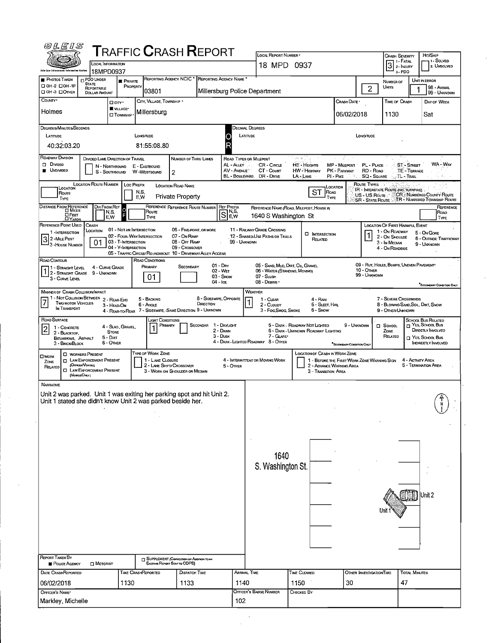|                                                                                                                                                           | <b>LOCAL INFORMATION</b>                                              |                                                                        | <b>TRAFFIC CRASH REPORT</b>                                                               |                                                                             |                                                        |                                                                     | LOCAL REPORT NUMBER<br>18 MPD 0937                                                               |                                                                       |                                                                         | $3$ $\frac{1}{2}$ - Injury                              | Hn/Skip<br><b>CRASH SEVERITY</b><br>1 - Solved<br>1 - FATAL                                             |                                                          |                                                            |
|-----------------------------------------------------------------------------------------------------------------------------------------------------------|-----------------------------------------------------------------------|------------------------------------------------------------------------|-------------------------------------------------------------------------------------------|-----------------------------------------------------------------------------|--------------------------------------------------------|---------------------------------------------------------------------|--------------------------------------------------------------------------------------------------|-----------------------------------------------------------------------|-------------------------------------------------------------------------|---------------------------------------------------------|---------------------------------------------------------------------------------------------------------|----------------------------------------------------------|------------------------------------------------------------|
|                                                                                                                                                           | 18MPD0937<br>REPORTING AGENCY NCIC * REPORTING AGENCY NAME *          |                                                                        |                                                                                           |                                                                             |                                                        |                                                                     |                                                                                                  |                                                                       | 3-PDO                                                                   |                                                         | 2. UNSOLVED                                                                                             |                                                          |                                                            |
| <b>PHOTOS TAKEN</b><br>O OH-2 OOH-1P<br><b>OH-3 DOTHER</b>                                                                                                | <b>PDO UNDER</b><br>STATE<br>REPORTABLE<br><b>DOLLAR AMOUNT</b>       | <b>PRIVATE</b><br>PROPERTY                                             | 03801                                                                                     |                                                                             | Millersburg Police Department                          |                                                                     |                                                                                                  |                                                                       |                                                                         | 2                                                       | NUMBER OF<br>UNITS                                                                                      | UNIT IN ERROR                                            | 98 - Animal<br>99 - UNKNOWN                                |
| County .<br>Holmes                                                                                                                                        |                                                                       | D CITY *<br><b>VILLAGE*</b><br><b>TOWNSHIP</b>                         | CITY, VILLAGE, TOWNSHIP *<br>Millersburg                                                  |                                                                             |                                                        |                                                                     |                                                                                                  |                                                                       | Crash Date •<br>06/02/2018                                              |                                                         | <b>TIME OF CRASH</b><br>1130                                                                            |                                                          | DAY OF WEEK<br>Sat                                         |
| <b>DEGREES/MINUTES/SECONDS</b>                                                                                                                            |                                                                       |                                                                        |                                                                                           |                                                                             |                                                        | <b>DECIMAL DEGREES</b>                                              |                                                                                                  |                                                                       |                                                                         |                                                         |                                                                                                         |                                                          |                                                            |
| LATITUDE<br>40:32:03.20                                                                                                                                   |                                                                       |                                                                        | <b>LONGITUDE</b><br>81:55:08.80                                                           |                                                                             |                                                        | LATITUDE                                                            |                                                                                                  |                                                                       |                                                                         | <b>LONGITUDE</b>                                        |                                                                                                         |                                                          |                                                            |
| ROADWAY DIVISION<br>$\square$ Divided<br><b>NONDED</b>                                                                                                    | DIVIDED LANE DIRECTION OF TRAVEL<br>N - Northbound<br>S - SOUTHBOUND  |                                                                        | E - EASTBOUND<br>W-WESTBOUND                                                              | NUMBER OF THRU LANES<br>$\overline{2}$                                      | AL - ALLEY                                             | ROAD TYPES OR MILEPOST<br>AV - AVENUE<br>BL - BOULEVARD, DR - DRIVE | <b>CR - CIRCLE</b><br>CT - Count                                                                 | 36.54<br>HE - HEIGHTS<br>HW - Highway<br>LA-LANE                      | MP - MILEPOST<br>PK - PARKWAY<br>$PI - P$ ike                           | PL - PLACE<br>RD - Road<br>$\sim$ $\sim$ SQ - Square    | <b>SOUTL-TRAIL</b>                                                                                      | <b>ST-STREET</b><br>TE-TERRACE                           | WA - WAY<br>$\mathcal{L}_{\mathcal{A}}$                    |
| Location<br>Route<br>TYPE                                                                                                                                 | LOCATION ROUTE NUMBER                                                 | LOC PREFIX                                                             | N,S,<br>EW                                                                                | LOCATION ROAD NAME<br><b>Private Property</b>                               |                                                        |                                                                     |                                                                                                  | <b>ST</b><br>ROAD                                                     | LOCATION<br>TYPE                                                        | ROUTE TYPES<br>US - US Route<br><b>SR - STATE ROUTE</b> | IR - INTERSTATE ROUTE (INC. TURNPIKE)                                                                   |                                                          | CR - NUMBERED COUNTY ROUTE<br>TR - NUMBERED TOWNSHIP ROUTE |
| DISTANCE FROM REFERENCE<br><b>E</b> FEET                                                                                                                  | DIR FROM REF<br>N,S,<br>E,W                                           |                                                                        | Route<br>TYPE                                                                             | REFERENCE REFERENCE ROUTE NUMBER                                            | <b>REF PREFIX</b><br>N,S,<br>ls<br><b>LW</b>           |                                                                     | 1640 S Washington St                                                                             | REFERENCE NAME (ROAD, MILEPOST, HOUSE #)                              |                                                                         |                                                         |                                                                                                         |                                                          | REFERENCE<br>Road<br>TYPE                                  |
| REFERENCE POINT USED<br>1 - INTERSECTION<br>$32$ -Mile Post<br>3 - HOUSE NUMBER                                                                           | <b>CRASH</b><br>LOCATION<br>01                                        | 01 - NOT AN INTERSECTION<br>03 - T-INTERSECTION<br>04 - Y-INTERSECTION | 02 - FOUR-WAY INTERSECTION<br>05 - TRAFFIC CIRCLE/ ROUNDABOUT 10 - DRIVEWAY/ ALLEY ACCESS | 06 - FIVE-POINT, OR MORE<br>07 - On RAMP<br>08 - Off RAMP<br>09 - Crossover |                                                        | 11 - RAILWAY GRADE CROSSING<br>99 - UNKNOWN                         | 12 - SHARED-USE PATHS OR TRAILS                                                                  | <b>D</b> INTERSECTION<br>RELATED                                      |                                                                         |                                                         | LOCATION OF FIRST HARMFUL EVENT<br>1 - On ROADWAY<br>2 - On Shoulde<br>3 - In MEDIAN<br>4 - ON ROADSIDE |                                                          | 5 - On GORE<br>6 - OUTSIDE TRAFFICWAY<br>9 - UNKNOWN       |
| ROAD CONTOUR<br>11 - STRAIGHT LEVEL<br>$1\overline{\smash{)}2\smash{.}}$ Straight Grade 9 - Unknown<br>3 - CURVE LEVEL                                    | 4 - CURVE GRADE                                                       |                                                                        | ROAD CONDITIONS<br>PRIMARY<br>01                                                          | <b>SECONDARY</b>                                                            | $01 - \text{Day}$<br>02 - Wet<br>03 - Snow<br>04 - Ice |                                                                     | 05 - SAND, MUD, DIRT, OIL GRAVEL<br>06 - WATER (STANDING, MOVING)<br>07 - SLUSH<br>08 - DEBRIS - |                                                                       |                                                                         | 10 - OTHER<br>99 - Unknown                              | 09 - RUT, HOLES, BUMPS, UNEVEN PAVEMENT                                                                 |                                                          | "SECONDARY CONDITION ONLY                                  |
| <b>MANNER OF CRASH COLLISION/IMPACT</b><br>1 - Not Collision Between 2 - Rear-End<br><b>TWO MOTOR VEHICLES</b><br>IN TRANSPORT                            |                                                                       | 3 - HEAD-ON                                                            | 5 - BACKING<br>6 - Angle<br>4 - REAR-TO-REAR 7 - SIDESWIPE, -SAME DIRECTION 9 - UNKNOWN   |                                                                             | 8 - SIDESWPE, OPPOSITE<br>DIRECTION                    | WEATHER                                                             | 1 - CLEAR<br>2 - CLOUDY<br>3 - Fog, Smog, Smoke                                                  | 4 - RAIN<br>5 - SLEET HAIL<br>6 - Snow                                |                                                                         |                                                         | 7 - Severe Crosswinds<br>8 - BLOWING SAND, SOIL, DIRT, SNOW<br>9 - OTHER/UNKNOWN                        |                                                          |                                                            |
| ROAD SURFACE<br>1 - CONCRETE<br>$\overline{2}$<br>2 - BLACKTOP.<br><b>BITUMINOUS, ASPHALT</b><br>3 - BRICK/BLOCK                                          | <b>STONE</b><br>$5 - D$ IRT<br>6 - OTHER                              | 4 - SLAG, GRAVEL.                                                      | Light Conditions<br>PRIMARY                                                               |                                                                             | SECONDAR 1 - DAYLIGHT<br>2 - DAWN<br>3 - Dusk          | 4 - DARK - LIGHTED ROADWAY 8 - OTHER                                | 7 - GLARE*                                                                                       | 5 - DARK - ROADWAY NOT LIGHTED<br>6 - DARK - UNKNOWN ROADWAY LIGHTING | 9 - UNKNOWN<br><sup>*</sup> SECONDARY CONDITION ONLY                    |                                                         | $\Box$ SCHOOL<br>ZONE<br>RELATED                                                                        | SCHOOL BUS RELATED<br>NES, SCHOOL BUS<br>NES, SCHOOL BUS | DIRECTLY INVOLVED<br>INDIRECTLY INVOLVED                   |
| <b>D</b> WORKERS PRESENT<br><b>OWORK</b><br>ZONE<br>(OFFICER VEHICLE)<br>RELATED<br>(VENGEONLY)                                                           | <b>D</b> LAW ENFORCEMENT PRESENT<br><b>CI LAW ENFORCEMENT PRESENT</b> |                                                                        | TYPE OF WORK ZONE<br>1 - LANE CLOSURE                                                     | 2 - LANE SHIFT/ CROSSOVER<br>3 - WORK ON SHOULDER OR MEDIAN                 | 5 - OTHER                                              | 4 - INTERMITTENT OR MOVING WORK                                     |                                                                                                  | LOCATION OF CRASH IN WORK ZONE<br>3 - TRANSITION AREA                 | 1 - BEFORE THE FIRST WORK ZONE WARNING SIGN<br>2 - ADVANCE WARNING AREA |                                                         |                                                                                                         | 4 - ACTIVITY AREA<br>5 - TERMINATION AREA                |                                                            |
|                                                                                                                                                           |                                                                       |                                                                        |                                                                                           |                                                                             |                                                        |                                                                     |                                                                                                  |                                                                       |                                                                         |                                                         |                                                                                                         |                                                          |                                                            |
| <b>NARRATIVE</b><br>Unit 2 was parked. Unit 1 was exiting her parking spot and hit Unit 2.<br>Unit 1 stated she didn't know Unit 2 was parked beside her. |                                                                       |                                                                        |                                                                                           |                                                                             |                                                        |                                                                     |                                                                                                  |                                                                       |                                                                         |                                                         |                                                                                                         |                                                          | N                                                          |
|                                                                                                                                                           |                                                                       |                                                                        |                                                                                           |                                                                             |                                                        |                                                                     | 1640<br>S. Washington St.                                                                        |                                                                       |                                                                         |                                                         |                                                                                                         |                                                          |                                                            |
|                                                                                                                                                           |                                                                       |                                                                        |                                                                                           |                                                                             |                                                        |                                                                     |                                                                                                  |                                                                       |                                                                         |                                                         |                                                                                                         |                                                          | Unit 2                                                     |
| REPORT TAKEN BY                                                                                                                                           |                                                                       |                                                                        |                                                                                           | SUPPLEMENT (CORRECTION OR ADDITION TO AN                                    |                                                        |                                                                     |                                                                                                  |                                                                       |                                                                         |                                                         |                                                                                                         |                                                          |                                                            |
| POUCE AGENCY<br>DATE CRASHREPORTED                                                                                                                        | <b>D</b> MOTORIST                                                     |                                                                        | TIME CRASHREPORTED                                                                        | Existing Report Sent to ODPS)<br><b>DISPATCH TIME</b>                       |                                                        | ARRIVAL TIME                                                        |                                                                                                  | TIME CLEARED                                                          |                                                                         | OTHER INVESTIGATION TIME                                |                                                                                                         | <b>TOTAL MINUTES</b>                                     |                                                            |
| 06/02/2018                                                                                                                                                |                                                                       | 1130                                                                   |                                                                                           | 1133                                                                        |                                                        | 1140                                                                |                                                                                                  | 1150                                                                  | 30                                                                      |                                                         | 47                                                                                                      |                                                          |                                                            |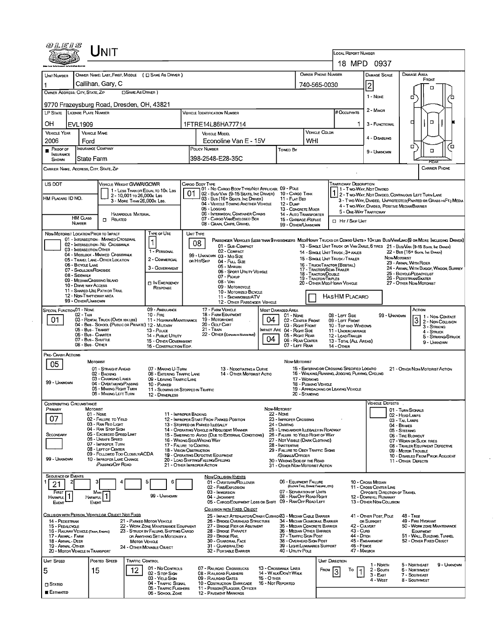| OLE1S                                                                                                                                                    |                                             | <b>NIT</b>                                                              |                                                         |                                                                                |                  |                                                                                                          |                                                                                           |                                                                                                                          |                                   |                                  |                                                         |                                                         |                                                                                                                               |  |  |  |  |  |
|----------------------------------------------------------------------------------------------------------------------------------------------------------|---------------------------------------------|-------------------------------------------------------------------------|---------------------------------------------------------|--------------------------------------------------------------------------------|------------------|----------------------------------------------------------------------------------------------------------|-------------------------------------------------------------------------------------------|--------------------------------------------------------------------------------------------------------------------------|-----------------------------------|----------------------------------|---------------------------------------------------------|---------------------------------------------------------|-------------------------------------------------------------------------------------------------------------------------------|--|--|--|--|--|
|                                                                                                                                                          |                                             |                                                                         |                                                         |                                                                                |                  |                                                                                                          |                                                                                           |                                                                                                                          |                                   |                                  |                                                         | LOCAL REPORT NUMBER<br>18 MPD 0937                      |                                                                                                                               |  |  |  |  |  |
|                                                                                                                                                          |                                             |                                                                         |                                                         |                                                                                |                  |                                                                                                          |                                                                                           |                                                                                                                          |                                   |                                  |                                                         |                                                         |                                                                                                                               |  |  |  |  |  |
| Unit Number                                                                                                                                              |                                             |                                                                         |                                                         | OWNER NAME: LAST, FIRST, MIDDLE ( C SAME AS DRIVER )                           |                  |                                                                                                          |                                                                                           |                                                                                                                          |                                   | <b>OWNER PHONE NUMBER</b>        |                                                         | <b>DAMAGE SCALE</b>                                     | <b>DAMAGE AREA</b><br>FRONT                                                                                                   |  |  |  |  |  |
| Callihan, Gary, C<br>740-565-0030<br>OWNER ADDRESS; CITY, STATE, ZIP<br><b>COME AS DRIVER</b> 1                                                          |                                             |                                                                         |                                                         |                                                                                |                  |                                                                                                          |                                                                                           |                                                                                                                          |                                   |                                  |                                                         | $\overline{c}$                                          | о                                                                                                                             |  |  |  |  |  |
|                                                                                                                                                          |                                             |                                                                         |                                                         |                                                                                |                  | 1 - NONE                                                                                                 | □                                                                                         |                                                                                                                          |                                   |                                  |                                                         |                                                         |                                                                                                                               |  |  |  |  |  |
| 9770 Frazeysburg Road, Dresden, OH, 43821                                                                                                                |                                             |                                                                         |                                                         |                                                                                |                  | 2 - MINOR                                                                                                |                                                                                           |                                                                                                                          |                                   |                                  |                                                         |                                                         |                                                                                                                               |  |  |  |  |  |
| LP STATE LICENSE PLATE NUMBER<br>VEHICLE IDENTIFICATION NUMBER                                                                                           |                                             |                                                                         |                                                         |                                                                                |                  |                                                                                                          |                                                                                           |                                                                                                                          |                                   |                                  | # Occupants                                             |                                                         |                                                                                                                               |  |  |  |  |  |
| OH                                                                                                                                                       | EVL1909                                     |                                                                         |                                                         |                                                                                |                  | 1FTRE14L86HA77714                                                                                        |                                                                                           |                                                                                                                          |                                   |                                  |                                                         | 3 - FUNCTIONAL                                          | $\Box$<br>г                                                                                                                   |  |  |  |  |  |
| <b>VEHICLE YEAR</b><br>2006                                                                                                                              | <b>VEHICLE MAKE</b>                         |                                                                         |                                                         |                                                                                |                  | <b>VEHICLE MODEL</b>                                                                                     |                                                                                           |                                                                                                                          | WHI                               | VEHICLE COLOR                    |                                                         | 4 - DISABLING                                           |                                                                                                                               |  |  |  |  |  |
| $P_{ROOF}$                                                                                                                                               | Ford<br>INSURANCE COMPANY                   |                                                                         |                                                         |                                                                                |                  | Econoline Van E - 15V<br>POUCY NUMBER<br><b>TOWED BY</b>                                                 |                                                                                           |                                                                                                                          |                                   |                                  |                                                         |                                                         | п<br>'n<br>□                                                                                                                  |  |  |  |  |  |
| <b>INSURANCE</b><br>SHOWN                                                                                                                                | State Farm                                  |                                                                         |                                                         |                                                                                |                  | 398-2548-E28-35C                                                                                         |                                                                                           |                                                                                                                          |                                   |                                  |                                                         | 9 - UNKNOWN                                             |                                                                                                                               |  |  |  |  |  |
| CARRIER NAME, ADDRESS, CITY, STATE, ZIP                                                                                                                  |                                             |                                                                         |                                                         |                                                                                |                  |                                                                                                          |                                                                                           |                                                                                                                          |                                   |                                  |                                                         |                                                         | <b>REAR</b><br><b>CARRIER PHONE</b>                                                                                           |  |  |  |  |  |
| US DOT                                                                                                                                                   |                                             | VEHICLE WEIGHT GVWR/GCWR                                                |                                                         |                                                                                |                  | CARGO BODY TYPE                                                                                          |                                                                                           |                                                                                                                          |                                   |                                  | <b>TRAFFICWAY DESCRIPTION</b>                           |                                                         |                                                                                                                               |  |  |  |  |  |
|                                                                                                                                                          |                                             |                                                                         |                                                         | 1 - LESS THAN OR EQUAL TO 10K LBS                                              |                  | 01 - No CARGO BODY TYPE/NOT APPLICABL 09 - POLE<br>02 - Bus/Van (9-15 Seats, Inc Driver) 10 - Cargo Tank |                                                                                           |                                                                                                                          |                                   |                                  |                                                         | 1 - Two-Way, Not Divided                                | 2 - Two-Way, Not Dimded, Continuous Left Turn Lane                                                                            |  |  |  |  |  |
| HM PLACARD ID NO.                                                                                                                                        |                                             |                                                                         | 2 - 10,001 то 26,000к Las<br>3 - MORE THAN 26,000K LBS. |                                                                                |                  | 03 Bus (16+ SEATS, INC DRIVER)<br>04 - VEHICLE TOWING ANOTHER VEHICLE                                    |                                                                                           | 11 - FLAT BED<br>12 - Dump                                                                                               |                                   |                                  |                                                         |                                                         | 3 - T WO-WAY, DIVIDED, UNPROTECTED (PAINTED OR GRASS >4FT.) MEDIA                                                             |  |  |  |  |  |
|                                                                                                                                                          |                                             |                                                                         | HAZARDOUS MATERIAL                                      |                                                                                |                  | 05 - Locging<br>06 - INTERMODAL CONTAINER CHASIS                                                         |                                                                                           | 13 - CONCRETE MIXER<br>14 - AUTO TRANSPORTER                                                                             |                                   |                                  | 5 - ONE-WAY TRAFFICWAY                                  | 4 - Two-Way, Divided, Positive Median Barrier           |                                                                                                                               |  |  |  |  |  |
|                                                                                                                                                          | <b>HM CLASS</b><br><b>NUMBER</b>            | $\Box$ Related                                                          |                                                         |                                                                                |                  | 07 - CARGO VAN ENCLOSED BOX<br>08 - GRAIN, CHIPS, GRAVEL                                                 |                                                                                           | 15 - GARBAGE /REFUSE<br>99 - OTHER/UNKNOWN                                                                               |                                   |                                  | HIT / SKIP UNIT                                         |                                                         |                                                                                                                               |  |  |  |  |  |
| NON-MOTORIST LOCATION PRIOR TO IMPACT                                                                                                                    |                                             |                                                                         |                                                         | TYPE OF USE                                                                    | <b>UNIT TYPE</b> |                                                                                                          |                                                                                           |                                                                                                                          |                                   |                                  |                                                         |                                                         |                                                                                                                               |  |  |  |  |  |
|                                                                                                                                                          |                                             | 01 - INTERSECTION - MARKED CROSSWAL<br>02 - INTERSECTION - NO CROSSWALK |                                                         | 1                                                                              |                  | 08                                                                                                       |                                                                                           |                                                                                                                          |                                   |                                  |                                                         |                                                         | PASSENGER VEHICLES (LESS THAN 9 PASSENGERS MEDIHEAVY TRUCKS OR COMBO UNITS > 10K LBS BUS/VAN/LIMO(9 OR MORE INCLUDING DRIVER) |  |  |  |  |  |
|                                                                                                                                                          | 03 - INTERSECTION OTHER                     |                                                                         |                                                         | 1 - PERSONAL                                                                   |                  | 01 - Sub-COMPACT<br>02 - COMPACT                                                                         |                                                                                           |                                                                                                                          |                                   |                                  | 14 - SINGLE UNIT TRUCK: 3+ AXLES                        |                                                         | 13 - SINGLE UNIT TRUCK OR VAN 2AXLE, 6 TIRES 21 - BUS/VAN (9-15 SEATS, INC DRIVER)<br>22 - Bus (16+ Seats, Inc Driver)        |  |  |  |  |  |
|                                                                                                                                                          |                                             | 04 - MIDBLOCK - MARKED CROSSWALK<br>05 - TRAVEL LANE - OTHER LOCATION   |                                                         | 2 - COMMERCIAL                                                                 |                  | 99 - UNKNOWN 03 - MID SIZE<br>OR HIT/SKIP<br>04 - FULL SIZE                                              |                                                                                           |                                                                                                                          |                                   |                                  | 15 - SINGLE UNIT TRUCK / TRAILER                        |                                                         | NON-MOTORIST<br>23 - ANIMAL WITH RIDER                                                                                        |  |  |  |  |  |
|                                                                                                                                                          | 06 - BICYCLE LANE<br>07 - Shoulder/Roadside |                                                                         |                                                         | 3 - GOVERNMENT                                                                 |                  | 05 - MINIVAN<br>06 - SPORT UTILITY VEHICLE                                                               |                                                                                           |                                                                                                                          |                                   |                                  | 16 - TRUCK/TRACTOR (BOBTAL)<br>17 - Tractor/Semi-Traler |                                                         | 24 - ANIMAL WITH BUGGY, WAGON, SURREY<br>25 - BICYCLE/PEDACYCLIST                                                             |  |  |  |  |  |
|                                                                                                                                                          | 08 - Sidewalk                               | 09 - MEDIAN/CROSSING ISLAND                                             |                                                         | <b>IT IN EMERGENCY</b>                                                         |                  | 18 - TRACTOR/DOUBLE<br>07 - PICKUP<br>19 - TRACTOR/TRIPLES<br>08 - VAN<br>20 - OTHER MED/HEAVY VEHICLE   |                                                                                           |                                                                                                                          |                                   |                                  |                                                         |                                                         | 26 - PEDESTRIAN SKATER<br>27 - OTHER NON-MOTORIST                                                                             |  |  |  |  |  |
|                                                                                                                                                          | 10 - DRIVE WAY ACCESS                       | 11 - SHARED-USE PATH OR TRAIL                                           |                                                         | RESPONSE                                                                       |                  | 09 - MOTORCYCLE<br>10 - MOTORIZED BICYCLE                                                                |                                                                                           |                                                                                                                          |                                   |                                  |                                                         |                                                         |                                                                                                                               |  |  |  |  |  |
| 12 - NON-TRAFFICWAY AREA<br>HASHM PLACARD<br>11 - SNOWMOBILE/ATV<br>99 - OTHER/UNKNOWN<br>12 - OTHER PASSENGER VEHICLE                                   |                                             |                                                                         |                                                         |                                                                                |                  |                                                                                                          |                                                                                           |                                                                                                                          |                                   |                                  |                                                         |                                                         |                                                                                                                               |  |  |  |  |  |
| SPECIAL FUNCTION 01 - NONE                                                                                                                               |                                             |                                                                         |                                                         | 09 - AMBULANCE                                                                 |                  | 17 - FARM VEHICLE                                                                                        | MOST DAMAGED AREA                                                                         | 01 - NONE                                                                                                                |                                   |                                  |                                                         |                                                         | Астюм                                                                                                                         |  |  |  |  |  |
| $02 - T$ AXI<br>$10 -$ Fine<br>01<br>03 - RENTAL TRUCK (OVER 10K LBS)<br>11 - HIGHWAY/MAINTENANCE<br>04 - Bus - SCHOOL (PUBLIC OR PRIVATE) 12 - MILITARY |                                             |                                                                         |                                                         |                                                                                |                  | 18 - FARM EQUIPMENT<br>19 - MOTORHOME                                                                    | 02 - CENTER FRONT                                                                         |                                                                                                                          | 08 - LEFT SIDE<br>09 - LEFT FRONT | 99 - UNKNOWN                     | 1 1 - Non-Contact<br>$32$ - Non-Collision               |                                                         |                                                                                                                               |  |  |  |  |  |
|                                                                                                                                                          | 05 - Bus - Transit                          |                                                                         |                                                         | 13 - Pouce                                                                     |                  | 20 - GOLF CART<br>03 - Right Front<br>21 - TRAIN<br><b>IMPACT ARE 04 - RIGHT SIDE</b>                    |                                                                                           |                                                                                                                          |                                   |                                  | 10 - Top AND WINDOWS<br>11 - UNDERCARRIAGE              | 3 - STRIKING<br>4 - STRUCK                              |                                                                                                                               |  |  |  |  |  |
|                                                                                                                                                          | 06 - Bus - Charter<br>07 - Bus - SHUTTLE    |                                                                         |                                                         | 14 - Pusuc Ununy<br>15 - OTHER GOVERNMENT                                      |                  | 22 - OTHER (EXPLAN IN NARRATIVE)                                                                         | 04                                                                                        | 05 - Right Rear<br>12 - LOAD/TRAILER<br>5 - STRIKING/STRUCK<br>06 - REAR CENTER<br>13 - TOTAL (ALL AREAS)<br>9 - UNKNOWN |                                   |                                  |                                                         |                                                         |                                                                                                                               |  |  |  |  |  |
|                                                                                                                                                          | 08 - Bus - OTHER                            |                                                                         |                                                         | 16 - CONSTRUCTION EOIP.                                                        |                  |                                                                                                          |                                                                                           | 07 - LEFT REAR                                                                                                           |                                   |                                  | 14 - Отнев                                              |                                                         |                                                                                                                               |  |  |  |  |  |
| PRE- CRASH ACTIONS                                                                                                                                       | <b>MOTORIST</b>                             |                                                                         |                                                         |                                                                                |                  |                                                                                                          |                                                                                           | NON-MOTORIST                                                                                                             |                                   |                                  |                                                         |                                                         |                                                                                                                               |  |  |  |  |  |
| 05                                                                                                                                                       |                                             | 01 - STRAIGHT AHEAD<br>02 - BACKING                                     |                                                         | 07 - MAKING U-TURN<br>08 - ENTERING TRAFFIC LANE                               |                  | 13 - NEGOTIATING A CURVE<br>14 - OTHER MOTORIST ACTIO                                                    |                                                                                           |                                                                                                                          |                                   |                                  | 15 - ENTERING OR CROSSING SPECIFIED LOCATIO             |                                                         | 21 - OTHER NON-MOTORIST ACTION                                                                                                |  |  |  |  |  |
| 99 - UNKNOWN                                                                                                                                             |                                             | 03 - CHANGING LANES<br>04 - OVERTAKING/PASSING                          |                                                         | 09 - LEAVING TRAFFIC LANE                                                      |                  |                                                                                                          | 16 - WALKING, RUNNING, JOGGING, PLAYING, CYCLING<br>17 - WORKING<br>18 - Pushing Vehicle  |                                                                                                                          |                                   |                                  |                                                         |                                                         |                                                                                                                               |  |  |  |  |  |
|                                                                                                                                                          |                                             | 05 - MAKING RIGHT TURN<br>06 - MAKING LEFT TURN                         |                                                         | 10 - PARKED<br>11 - SLOWING OR STOPPED IN TRAFFIC                              |                  |                                                                                                          |                                                                                           |                                                                                                                          | 20 - Standing                     |                                  | 19 - APPROACHING OR LEAVING VEHICLE                     |                                                         |                                                                                                                               |  |  |  |  |  |
| <b>CONTRIBUTING CIRCUMSTANCE</b>                                                                                                                         |                                             |                                                                         |                                                         | 12 - DRIVERLESS                                                                |                  |                                                                                                          |                                                                                           |                                                                                                                          |                                   |                                  |                                                         | VEHICLE DEFECTS                                         |                                                                                                                               |  |  |  |  |  |
| Primary                                                                                                                                                  | MOTORIST                                    |                                                                         |                                                         | 11 - IMPROPER BACKING                                                          |                  |                                                                                                          | <b>NON-MOTORIST</b><br><b>22 - NONE</b>                                                   |                                                                                                                          |                                   |                                  |                                                         |                                                         | 01 - TURN SIGNALS                                                                                                             |  |  |  |  |  |
| 07                                                                                                                                                       |                                             | 01 - None<br>02 - FALURE TO YIELD<br>03 - RAN RED LIGHT                 |                                                         |                                                                                |                  | 12 - IMPROPER START FROM PARKED POSITION                                                                 |                                                                                           | 23 - IMPROPER CROSSING                                                                                                   |                                   |                                  |                                                         |                                                         | 02 - HEAD LAMPS<br>03 - TAL LAMPS                                                                                             |  |  |  |  |  |
|                                                                                                                                                          |                                             | 04 - RAN STOP SIGN                                                      |                                                         |                                                                                |                  | 13 - STOPPED OR PARKED ILLEGALLY<br>14 - Operating Vehicle in Negligent Manner                           |                                                                                           | 24 - DARTING<br>25 - LYING AND/OR LLEGALLY IN ROADWAY                                                                    |                                   |                                  |                                                         |                                                         | 04 - BRAKES<br>05 - STEERING                                                                                                  |  |  |  |  |  |
| SECONDARY                                                                                                                                                |                                             | 05 - Exceeded Speed LIMIT<br>06 - UNSAFE SPEED                          |                                                         |                                                                                |                  | 15 - SWERING TO AVOID (DUE TO EXTERNAL CONDITIONS)<br>16 - WRONG SIDE/WRONG WAY                          |                                                                                           | 26 - FALURE TO YIELD RIGHT OF WAY<br>27 - NOT VISIBLE (DARK CLOTHING)                                                    |                                   |                                  |                                                         |                                                         | 06 - TIRE BLOWOUT<br>07 - WORN OR SLICK TIRES                                                                                 |  |  |  |  |  |
|                                                                                                                                                          |                                             | 07 - IMPROPER TURN<br>08 - LEFT OF CENTER                               |                                                         | 17 - FALURE TO CONTROL<br><b>18 - VISION OBSTRUCTION</b>                       |                  |                                                                                                          |                                                                                           | 28 - INATTENTIVE<br>29 - FAILURE TO OBEY TRAFFIC SIGNS                                                                   |                                   |                                  |                                                         | 08 - TRAILER EQUIPMENT DEFECTIVE<br>09 - MOTOR TROUBLE  |                                                                                                                               |  |  |  |  |  |
| 99 - UNKNOWN                                                                                                                                             |                                             | 09 - FOLLOWED TOO CLOSELY/ACDA<br>10 - IMPROPER LANE CHANGE             |                                                         |                                                                                |                  | 19 - OPERATING DEFECTIVE EQUIPMENT<br>20 - LOAD SHIFTING/FALUNG/SPILLING                                 |                                                                                           | /SIGNALS/OFFICER<br>30 - WRONG SIDE OF THE ROAD                                                                          |                                   |                                  |                                                         | 10 - DISABLED FROM PRIOR ACCIDENT<br>11 - OTHER DEFECTS |                                                                                                                               |  |  |  |  |  |
|                                                                                                                                                          |                                             | <b>PASSING OFF ROAD</b>                                                 |                                                         |                                                                                |                  | 21 - OTHER IMPROPER ACTION                                                                               |                                                                                           | 31 - OTHER NON-MOTORIST ACTION                                                                                           |                                   |                                  |                                                         |                                                         |                                                                                                                               |  |  |  |  |  |
| <b>SEQUENCE OF EVENTS</b><br>2                                                                                                                           |                                             | з                                                                       |                                                         | 6<br>5                                                                         |                  | <b>NON-COLLISION EVENTS</b><br>01 - OVERTURN/ROLLOVER                                                    |                                                                                           | 06 - EQUIPMENT FAILURE                                                                                                   |                                   |                                  |                                                         | 10 - Cross Median                                       |                                                                                                                               |  |  |  |  |  |
| 21<br>FIRST                                                                                                                                              |                                             | Most                                                                    |                                                         |                                                                                |                  | 02 - FIRE/EXPLOSION<br>03 - IMMERSION                                                                    |                                                                                           | 07 - SEPARATION OF UNITS                                                                                                 |                                   | (BLOWN TIRE, BRAKE FAILURE, ETC) |                                                         | 11 - CROSS CENTER LINE<br>OPPOSITE DIRECTION OF TRAVEL  |                                                                                                                               |  |  |  |  |  |
| <b>HARMFUL</b><br>Event                                                                                                                                  | <b>HARMFUL</b><br>Event                     |                                                                         |                                                         | 99 - UNKNOWN                                                                   |                  | 04 - JACKKNIFE<br>05 - CARGO/EOUIPMENT LOSS OR SHIFT 09 - RAN OFF ROAD LEFT                              |                                                                                           | 08 - RAN OFF ROAD RIGHT                                                                                                  |                                   |                                  |                                                         | 12 - DOWNHILL RUNAWAY<br>13 - OTHER NON-COLLISION       |                                                                                                                               |  |  |  |  |  |
|                                                                                                                                                          |                                             |                                                                         |                                                         |                                                                                |                  | COLLISION WITH FIXED, OBJECT                                                                             |                                                                                           |                                                                                                                          |                                   |                                  |                                                         |                                                         |                                                                                                                               |  |  |  |  |  |
| COLLISION WITH PERSON, VEHICLE OR OBJECT NOT FIXED<br>14 - PEDESTRIAN                                                                                    |                                             |                                                                         |                                                         | 21 - PARKED MOTOR VEHICLE                                                      |                  | 25 - IMPACT ATTENUATOR/CRASH CUSHION33 - MEDIAN CABLE BARRIER<br>26 - BRIDGE OVERHEAD STRUCTURE          |                                                                                           | 34 - MEDIAN GUARDRAIL BARRIER                                                                                            |                                   |                                  |                                                         | 41 - OTHER POST, POLE<br>OR SUPPORT                     | 48 - TREE<br>49 - Fire Hydrant                                                                                                |  |  |  |  |  |
| 15 - PEDALCYCLE<br>16 - RAILWAY VEHICLE (TRAIN, ENGINE)                                                                                                  |                                             |                                                                         |                                                         | 22 - WORK ZONE MAINTENANCE EQUIPMENT<br>23 - STRUCK BY FALLING, SHIFTING CARGO |                  | 28 - BRIDGE PARAPET                                                                                      | 27 - BRIDGE PIER OR ABUTMENT<br>35 - MEDIAN CONCRETE BARRIER<br>36 - MEDIAN OTHER BARRIER |                                                                                                                          |                                   |                                  | 42 - CULVERT<br><b>43 - CuRB</b>                        |                                                         | 50 - WORK ZONE MAINTENANCE<br>EOUIPMENT                                                                                       |  |  |  |  |  |
| 17 - Animal - Farm<br>18 - AMMAL - DEER                                                                                                                  |                                             |                                                                         | <b>MOTOR VEHICLE</b>                                    | OR ANYTHING SET IN MOTION BY A                                                 |                  | 29 - Bridge Rail<br>30 - GUARDRAIL FACE                                                                  | 37 - TRAFFIC SIGN POST<br>38 - Overhead Sign Post                                         |                                                                                                                          |                                   |                                  | 44 - Олтсн                                              | 45 - EMBANKMENT                                         | 51 - WALL BUILDING, TUNNEL<br>52 - OTHER FIXED OBJECT                                                                         |  |  |  |  |  |
| 19 - ANIMAL - OTHER<br>20 - MOTOR VEHICLE IN TRANSPORT                                                                                                   |                                             |                                                                         |                                                         | 24 - OTHER MOVABLE OBJECT                                                      |                  | 31 - GUARDRAILEND<br>32 - PORTABLE BARRIER                                                               |                                                                                           | 39 - LIGHT/LUMINARIES SUPPORT<br>40 - Unury Pous                                                                         |                                   |                                  | 46 - FENCE<br>47 - MAILBOX                              |                                                         |                                                                                                                               |  |  |  |  |  |
| UNIT SPEED                                                                                                                                               |                                             | POSTEO SPEED                                                            | TRAFFIC CONTROL                                         |                                                                                |                  |                                                                                                          |                                                                                           |                                                                                                                          |                                   | UNT DIRECTION                    |                                                         |                                                         |                                                                                                                               |  |  |  |  |  |
| 5                                                                                                                                                        | 15                                          |                                                                         | 12                                                      | 01 - No CONTROLS<br>02 - Stop Sign                                             |                  | 07 - RAILROAD CROSSBUCKS<br>08 - RAILROAD FLASHERS                                                       | <b>13 - CROSSWALK LINES</b><br>14 - WALK/DON'T WALK                                       |                                                                                                                          |                                   | FROM                             | ۱o                                                      | 1 - North<br>2 Soum                                     | 9 - UNKNOWN<br>5 - Northeast<br><b>6 NORTHWEST</b>                                                                            |  |  |  |  |  |
|                                                                                                                                                          |                                             |                                                                         |                                                         | 03 - YIELD SIGN<br>04 - TRAFFIC SIGNAL                                         |                  | 09 - RAILROAD GATES<br>10 - COSTRUCTION BARRICADE                                                        | <b>15 - O THER</b><br>16 - Not REPORTED                                                   |                                                                                                                          |                                   |                                  |                                                         | 3 - East<br>4 - West                                    | 7 - SOUTHEAST<br>8 - Southwest                                                                                                |  |  |  |  |  |
| $\square$ Stated<br>$\blacksquare$ Estimated                                                                                                             |                                             |                                                                         |                                                         | 05 - TRAFFIC FLASHERS<br>06 - SCHOOL ZONE                                      |                  | 11 - PERSON (FLAGGER, OFFICER<br><b>12 - PAVEMENT MARKINGS</b>                                           |                                                                                           |                                                                                                                          |                                   |                                  |                                                         |                                                         |                                                                                                                               |  |  |  |  |  |
|                                                                                                                                                          |                                             |                                                                         |                                                         |                                                                                |                  |                                                                                                          |                                                                                           |                                                                                                                          |                                   |                                  |                                                         |                                                         |                                                                                                                               |  |  |  |  |  |

 $\bar{z}$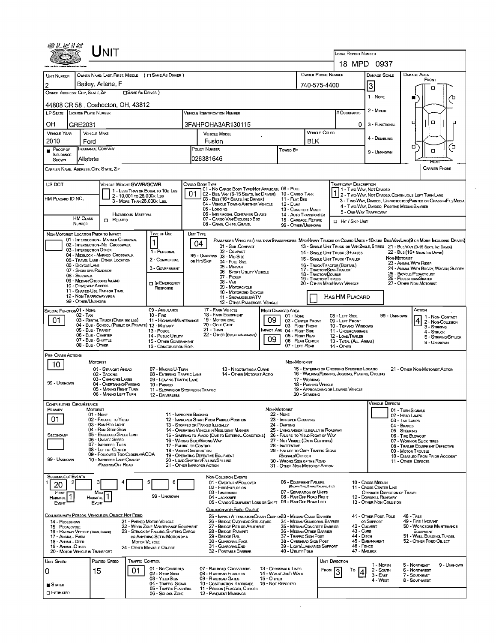| 0 L E 1 S                                                                         |                                                              | INIT                                                                                    |                            |                                                                          |                                            |                                                                                                                     |                                                                                                                                               |                   |                                                                                            |                                      |               |                                                                                                |                                                        |                                                                               |                                                                                                                        |                                                                  |  |  |  |
|-----------------------------------------------------------------------------------|--------------------------------------------------------------|-----------------------------------------------------------------------------------------|----------------------------|--------------------------------------------------------------------------|--------------------------------------------|---------------------------------------------------------------------------------------------------------------------|-----------------------------------------------------------------------------------------------------------------------------------------------|-------------------|--------------------------------------------------------------------------------------------|--------------------------------------|---------------|------------------------------------------------------------------------------------------------|--------------------------------------------------------|-------------------------------------------------------------------------------|------------------------------------------------------------------------------------------------------------------------|------------------------------------------------------------------|--|--|--|
|                                                                                   |                                                              |                                                                                         |                            |                                                                          |                                            |                                                                                                                     |                                                                                                                                               |                   |                                                                                            |                                      |               | <b>LOCAL REPORT NUMBER</b>                                                                     | 18 MPD 0937                                            |                                                                               |                                                                                                                        |                                                                  |  |  |  |
|                                                                                   |                                                              |                                                                                         |                            | OWNER NAME: LAST, FIRST, MIDDLE ( C SAME AS DRIVER )                     |                                            |                                                                                                                     |                                                                                                                                               |                   |                                                                                            | <b>OWNER PHONE NUMBER</b>            |               |                                                                                                | DAMAGE SCALE                                           |                                                                               | DAMAGE AREA                                                                                                            |                                                                  |  |  |  |
| <b>UNIT NUMBER</b>                                                                |                                                              | Bailey, Arlene, F                                                                       |                            |                                                                          |                                            |                                                                                                                     |                                                                                                                                               |                   |                                                                                            |                                      |               |                                                                                                |                                                        |                                                                               | FRONT                                                                                                                  |                                                                  |  |  |  |
| 740-575-4400<br>2<br>OWNER ADDRESS: CITY, STATE, ZIP<br><b>CISAME AS DRIVER</b> ) |                                                              |                                                                                         |                            |                                                                          |                                            |                                                                                                                     |                                                                                                                                               |                   |                                                                                            |                                      |               |                                                                                                | 3                                                      |                                                                               |                                                                                                                        | α                                                                |  |  |  |
| 44808 CR 58, Coshocton, OH, 43812                                                 |                                                              |                                                                                         |                            |                                                                          |                                            |                                                                                                                     |                                                                                                                                               |                   |                                                                                            |                                      |               |                                                                                                | 1 - NONE                                               |                                                                               |                                                                                                                        |                                                                  |  |  |  |
| LP STATE LICENSE PLATE NUMBER<br>VEHICLE IDENTIFICATION NUMBER                    |                                                              |                                                                                         |                            |                                                                          |                                            |                                                                                                                     |                                                                                                                                               |                   |                                                                                            |                                      |               | # Occupants                                                                                    | 2 - MINOR                                              |                                                                               |                                                                                                                        |                                                                  |  |  |  |
| ΟH                                                                                | GRE2031                                                      |                                                                                         |                            |                                                                          |                                            |                                                                                                                     | 3FAHPOHA3AR130115                                                                                                                             |                   |                                                                                            |                                      |               | 0                                                                                              | 3 - FUNCTIONAL                                         |                                                                               | □                                                                                                                      | α                                                                |  |  |  |
| <b>VEHICLE YEAR</b>                                                               | <b>VEHICLE MAKE</b>                                          |                                                                                         |                            |                                                                          |                                            |                                                                                                                     | <b>VEHICLE MODEL</b>                                                                                                                          |                   |                                                                                            |                                      | VEHICLE COLOR |                                                                                                | 4 - DISABLING                                          |                                                                               |                                                                                                                        |                                                                  |  |  |  |
| 2010<br><b>PROOF OF</b>                                                           | Ford<br><b>INSURANCE COMPANY</b>                             |                                                                                         |                            |                                                                          | Fusion<br><b>POLICY NUMBER</b><br>Towen By |                                                                                                                     |                                                                                                                                               |                   |                                                                                            | BLK                                  |               |                                                                                                |                                                        |                                                                               | σ                                                                                                                      | о                                                                |  |  |  |
| <b>INSURANCE</b><br>SHOWN                                                         | Allstate                                                     |                                                                                         |                            |                                                                          |                                            | 026381646                                                                                                           |                                                                                                                                               |                   |                                                                                            |                                      |               |                                                                                                | 9 - UNKNOWN                                            |                                                                               |                                                                                                                        | Ο<br><b>REAR</b>                                                 |  |  |  |
| CARRIER NAME, ADDRESS, CITY, STATE, ZIP                                           |                                                              |                                                                                         |                            |                                                                          |                                            |                                                                                                                     |                                                                                                                                               |                   |                                                                                            |                                      |               |                                                                                                |                                                        |                                                                               |                                                                                                                        | <b>CARRIER PHONE</b>                                             |  |  |  |
| US DOT                                                                            |                                                              | <b>VEHICLE WEIGHT GVWR/GCWR</b>                                                         |                            |                                                                          |                                            | CARGO BODY TYPE                                                                                                     |                                                                                                                                               |                   |                                                                                            |                                      |               | <b>TRAFFICWAY DESCRIPTION</b>                                                                  |                                                        |                                                                               |                                                                                                                        |                                                                  |  |  |  |
| HM Placard ID NO.                                                                 |                                                              |                                                                                         | 2 - 10,001 To 26,000K LBS  | 1 - LESS THAN OR EQUAL TO 10K LBS                                        | 01                                         |                                                                                                                     | 01 - No CARGO BODY TYPE/NOT APPLICABL 09 - POLE<br>02 - Bus/ VAN (9-15 SEATS, INC DRIVER) 10 - CARGO TANK<br>03 - Bus (16+ Seats, Inc Driver) |                   | 11 - FLAT BED                                                                              |                                      |               |                                                                                                | 1 - Two-Way, Not Divided                               |                                                                               | 2 - Two-Way, NOT DIVIDED, CONTINUOUS LEFT TURN LANE                                                                    |                                                                  |  |  |  |
|                                                                                   |                                                              |                                                                                         | 3 - MORE THAN 26,000K LBS. |                                                                          |                                            | 05 - Logging                                                                                                        | 04 - VEHICLE TOWING ANOTHER VEHICLE                                                                                                           |                   | 12 - Dump<br>13 - CONCRETE MIXER                                                           |                                      |               |                                                                                                |                                                        |                                                                               | 4 - Two-Way, Divided. Positive MedianBarrier                                                                           | 3 - Two-Way, Divided, UNPROTECTED (PAINTED OR GRASS >4FT.) MEDIA |  |  |  |
|                                                                                   | <b>HM CLASS</b>                                              | $n$ Related                                                                             | <b>HAZARDOUS MATERIAL</b>  |                                                                          |                                            |                                                                                                                     | 06 - INTERMODAL CONTAINER CHASIS<br>07 - CARGO VAN/ENCLOSED BOX                                                                               |                   | 14 - AUTO TRANSPORTER<br>15 - GARBAGE /REFUSE                                              |                                      |               | <b>□ Hr/Skip Unit</b>                                                                          | 5 - ONE-WAY TRAFFICWAY                                 |                                                                               |                                                                                                                        |                                                                  |  |  |  |
|                                                                                   | NUMBER                                                       |                                                                                         |                            |                                                                          |                                            |                                                                                                                     | 08 - Grain, Chips, Gravel                                                                                                                     |                   | 99 - OTHER/UNKNOWN                                                                         |                                      |               |                                                                                                |                                                        |                                                                               |                                                                                                                        |                                                                  |  |  |  |
| NON-MOTORIST LOCATION PRIOR TO IMPACT                                             |                                                              | 01 - INTERSECTION - MARKED CROSSWAL                                                     |                            | TYPE OF USE                                                              |                                            | UNT TYPE<br>04                                                                                                      | PASSENGER VEHICLES (LESS THAN 9 PASSENGERS MEDIHEAVY TRUCKS OR COMBO UNTS > 10K LBS BUS/VAN/LIMO(9 OR MORE INCLUDING DRIVER)                  |                   |                                                                                            |                                      |               |                                                                                                |                                                        |                                                                               |                                                                                                                        |                                                                  |  |  |  |
|                                                                                   | 03 - INTERSECTION OTHER                                      | 02 - INTERSECTION - NO CROSSWALK                                                        |                            | 1 - PERSONAL                                                             |                                            |                                                                                                                     | 01 - Sub-COMPACT<br>02 - COMPACT                                                                                                              |                   |                                                                                            |                                      |               | 14 - SINGLE UNIT TRUCK: 3+ AXLES                                                               |                                                        |                                                                               | 13 - SINGLE UNIT TRUCK OR VAN 2AXLE, 6 TIRES 21 - BUS/VAN (9-15 SEATS, INC DRIVER)<br>22 - BUS (16+ SEATS, INC DRAVER) |                                                                  |  |  |  |
|                                                                                   |                                                              | 04 - MIDBLOCK - MARKED CROSSWALK<br>05 - TRAVEL LANE - OTHER LOCATION                   |                            | 2 - COMMERCIAL                                                           |                                            | OR HIT/SKIP                                                                                                         | 99 - UNKNOWN 03 - MID SIZE<br>04 - Fuu. Size                                                                                                  |                   |                                                                                            |                                      |               | 15 - SINGLE UNIT TRUCK / TRAILER                                                               |                                                        | NON MOTORIST                                                                  | 23 - Animal With Rider                                                                                                 |                                                                  |  |  |  |
|                                                                                   | 06 - BICYCLE LANE<br>07 - SHOULDER/ROADSIDE<br>08 - SIDEWALK |                                                                                         |                            | 3 - GOVERNMENT                                                           |                                            |                                                                                                                     | 05 - MINIVAN<br>06 - SPORT UTILITY VEHICLE                                                                                                    |                   |                                                                                            | 18 - TRACTOR/DOUBLE                  |               | 16 - TRUCK/TRACTOR (BOBTAIL)<br>17 - TRACTOR/SEMI-TRAILER                                      |                                                        |                                                                               | 25 - BICYCLE/PEDACYCLIST                                                                                               | 24 - ANIMAL WITH BUGGY, WAGON, SURREY                            |  |  |  |
|                                                                                   | 10 - DRIVE WAY ACCESS                                        | 09 - MEDIAN CROSSING ISLAND                                                             |                            | IN EMERGENCY                                                             |                                            | 07 - Pickup<br>19 - TRACTOR/TRIPLES<br>08 - VAN<br>20 - OTHER MEDIHEAVY VEHICLE                                     |                                                                                                                                               |                   |                                                                                            |                                      |               |                                                                                                |                                                        |                                                                               | 26 - Peoestrian/Skater<br>27 - OTHER NON-MOTORIST                                                                      |                                                                  |  |  |  |
|                                                                                   | 12 - NON-TRAFFICWAY AREA                                     | 11 - SHARED-USE PATH OR TRAIL                                                           |                            | RESPONSE                                                                 |                                            | 09 - MOTORCYCLE<br>10 - MOTORIZED BICYCLE<br>11 - SNOWMOBILE/ATV                                                    |                                                                                                                                               |                   |                                                                                            |                                      |               | HASHM PLACARD                                                                                  |                                                        |                                                                               |                                                                                                                        |                                                                  |  |  |  |
|                                                                                   | 99 - OTHER/UNKNOWN                                           |                                                                                         |                            |                                                                          |                                            |                                                                                                                     | 12 - OTHER PASSENGER VEHICLE                                                                                                                  |                   |                                                                                            |                                      |               |                                                                                                |                                                        |                                                                               |                                                                                                                        |                                                                  |  |  |  |
| SPECIAL FUNCTIONO1 - NONE                                                         | 02 - TAXI                                                    |                                                                                         |                            | 09 - AMBULANCE<br>$10 -$ Fire                                            |                                            |                                                                                                                     | 17 - FARM VEHICLE<br>18 - FARM EQUIPMENT                                                                                                      |                   | <b>MOST DAMAGED AREA</b><br>01 - NONE                                                      |                                      |               | 08 - LEFT SIDE                                                                                 |                                                        | 99 - UNKNOWN                                                                  | Астюм                                                                                                                  | 1 - Non-Contact                                                  |  |  |  |
| 01                                                                                | 05 - Bus - Transit                                           | 03 - RENTAL TRUCK (OVER 10K LBS)<br>04 - Bus - SCHOOL (PUBLIC OR PRIVATE) 12 - MILITARY |                            | 11 - HIGHWAY/MAINTENANCE                                                 |                                            | 19 - MOTORHOME<br>09<br>02 - CENTER FRONT<br>20 - GOLF CART<br>03 - Right Front<br>21 - TRAIN                       |                                                                                                                                               |                   |                                                                                            |                                      |               | 09 - LEFT FRONT<br>10 - TOP AND WINDOWS                                                        |                                                        | 2 - Non-Collision<br>3 - STRIKING                                             |                                                                                                                        |                                                                  |  |  |  |
|                                                                                   | 06 - Bus - Charter<br>07 - Bus - SHUTTLE                     |                                                                                         |                            | 13 - Pouce<br>14 - PUBLIC UTILITY                                        |                                            | <b>IMPACT ARE 04 - RIGHT SIDE</b><br>22 - OTHER (EXPLAIN IN NARRATIVE)<br>05 - Right Rear<br>09<br>06 - REAR CENTER |                                                                                                                                               |                   |                                                                                            |                                      |               | 11 - UNDERCARRIAGE<br>12 - LOAD/TRAILER                                                        |                                                        |                                                                               | 4 - STRUCK<br>5 - STRIKING/STRUCK                                                                                      |                                                                  |  |  |  |
|                                                                                   | 08 - Bus - Other                                             |                                                                                         |                            | 15 - OTHER GOVERNMENT<br>16 - CONSTRUCTION EQIP.                         |                                            |                                                                                                                     |                                                                                                                                               |                   | 07 - LEFT REAR                                                                             |                                      |               | 13 - TOTAL (ALL AREAS)<br><b>14 - OTHER</b>                                                    |                                                        |                                                                               |                                                                                                                        | 9 - UNKNOWN                                                      |  |  |  |
| PRE- CRASH ACTIONS                                                                |                                                              | <b>MOTORIST</b>                                                                         |                            |                                                                          |                                            |                                                                                                                     |                                                                                                                                               |                   | NON-MOTORIST                                                                               |                                      |               |                                                                                                |                                                        |                                                                               |                                                                                                                        |                                                                  |  |  |  |
| 10                                                                                |                                                              | 01 - STRAIGHT AHEAD<br>02 - BACKING                                                     |                            | 07 - MAKING U-TURN<br>08 - ENTERING TRAFFIC LANE                         |                                            |                                                                                                                     | 13 - NEGOTIATING A CURVE<br>14 - OTHER MOTORIST ACTIO                                                                                         |                   |                                                                                            |                                      |               | 15 - ENTERING OR CROSSING SPECIFIED LOCATIO<br>16 - WALKING RUNNING, JOSGING, PLAYING, CYCLING |                                                        |                                                                               | 21 - OTHER NON MOTORIST ACTION                                                                                         |                                                                  |  |  |  |
| 99 - UNKNOWN                                                                      |                                                              | 03 - CHANGING LANES<br>04 - OVERTAKING/PASSING                                          |                            | 09 - LEAVING TRAFFIC LANE<br>10 - PARKED                                 |                                            |                                                                                                                     |                                                                                                                                               |                   |                                                                                            | 17 - WORKING<br>18 - PUSHING VEHICLE |               |                                                                                                |                                                        |                                                                               |                                                                                                                        |                                                                  |  |  |  |
|                                                                                   |                                                              | 05 - MAKING RIGHT TURN<br>06 - MAKING LEFT TURN                                         |                            | 11 - SLOWING OR STOPPED IN TRAFFIC<br>12 - DRIVERLESS                    |                                            |                                                                                                                     |                                                                                                                                               |                   |                                                                                            | 20 - STANDING                        |               | 19 - APPROACHING OR LEAVING VEHICLE                                                            |                                                        |                                                                               |                                                                                                                        |                                                                  |  |  |  |
| CONTRIBUTING CIRCUMSTANCE                                                         |                                                              |                                                                                         |                            |                                                                          |                                            |                                                                                                                     |                                                                                                                                               |                   |                                                                                            |                                      |               |                                                                                                |                                                        | <b>VEHICLE DEFECTS</b>                                                        |                                                                                                                        |                                                                  |  |  |  |
| Primary                                                                           | MOTORIST                                                     | 01 - None                                                                               |                            | 11 - IMPROPER BACKING                                                    |                                            |                                                                                                                     |                                                                                                                                               |                   | <b>NON-MOTORIST</b><br>22 - NONE                                                           |                                      |               |                                                                                                |                                                        |                                                                               | 01 - Turn Signals<br>02 - HEAD LAMPS                                                                                   |                                                                  |  |  |  |
| 01                                                                                |                                                              | 02 - FAILURE TO YIELD<br>03 - RAN RED LIGHT                                             |                            |                                                                          |                                            | 13 - STOPPED OR PARKED ILLEGALLY                                                                                    | 12 - IMPROPER START FROM PARKED POSITION                                                                                                      |                   | 23 - IMPROPER CROSSING<br>24 - DARTING                                                     |                                      |               |                                                                                                |                                                        | 04 - BRAKES                                                                   | 03 - TAIL LAMPS                                                                                                        |                                                                  |  |  |  |
| SECONDARY                                                                         |                                                              | 04 - RAN STOP SIGN<br>05 - EXCEEDED SPEED LIMIT<br>06 - UNSAFE SPEED                    |                            |                                                                          |                                            |                                                                                                                     | 14 - OPERATING VEHICLE IN NEGLIGENT MANNER<br>15 - SWERING TO AVOID (DUE TO EXTERNAL CONDITIONS)                                              |                   | 25 - LYING AND/OR ILLEGALLY IN ROADWAY<br>26 - FALURE TO YIELD RIGHT OF WAY                |                                      |               |                                                                                                |                                                        |                                                                               | 05 - STEERING<br>06 - TIRE BLOWOUT                                                                                     |                                                                  |  |  |  |
|                                                                                   |                                                              | 07 - IMPROPER TURN<br>08 - LEFT OF CENTER                                               |                            | 17 - FALURE TO CONTROL<br>18 - VISION OBSTRUCTION                        |                                            | 16 - WRONG SIDE/WRONG WAY                                                                                           |                                                                                                                                               |                   | 27 - NOT VISIBLE (DARK CLOTHING)<br>28 - INATTENTIVE<br>29 - FAILURE TO OBEY TRAFFIC SIGNS |                                      |               |                                                                                                |                                                        | 07 - WORN OR SLICK TIRES<br>08 - TRAILER EQUIPMENT DEFECTIVE                  |                                                                                                                        |                                                                  |  |  |  |
| 99 - Unknown                                                                      |                                                              | 09 - FOLLOWED TOO CLOSELY/ACDA<br>10 - IMPROPER LANE CHANGE                             |                            |                                                                          |                                            | 19 - OPERATING DEFECTIVE EQUIPMENT<br>20 - LOAD SHIFTING/FALLING/SPILLING                                           |                                                                                                                                               |                   | /SIGNALS/OFFICER<br>30 - WRONG SIDE OF THE ROAD                                            |                                      |               |                                                                                                |                                                        | 09 - MOTOR TROUBLE<br>10 - DISABLED FROM PRIOR ACCIDENT<br>11 - OTHER DEFECTS |                                                                                                                        |                                                                  |  |  |  |
|                                                                                   |                                                              | PASSING OFF ROAD                                                                        |                            |                                                                          |                                            | 21 - OTHER IMPROPER ACTION                                                                                          |                                                                                                                                               |                   | 31 - OTHER NON-MOTORIST ACTION                                                             |                                      |               |                                                                                                |                                                        |                                                                               |                                                                                                                        |                                                                  |  |  |  |
| <b>SEQUENCE OF EVENTS</b><br>20                                                   |                                                              | з                                                                                       |                            | 5<br>6                                                                   |                                            |                                                                                                                     | <b>NON-COLLISION EVENTS</b><br>01 - OVERTURN/ROLLOVER                                                                                         |                   | 06 - EQUIPMENT FAILURE                                                                     |                                      |               |                                                                                                | 10 - CROSS MEDIAN                                      |                                                                               |                                                                                                                        |                                                                  |  |  |  |
| FIRST                                                                             |                                                              | Most                                                                                    |                            |                                                                          |                                            |                                                                                                                     | 02 - FIRE/EXPLOSION<br>03 - IMMERSION                                                                                                         |                   | 07 - SEPARATION OF UNITS                                                                   | (BLOWN TIRE, BRAKE FAILURE, ETC)     |               |                                                                                                | 11 - Cross CENTER LINE<br>OPPOSITE DIRECTION OF TRAVEL |                                                                               |                                                                                                                        |                                                                  |  |  |  |
| HARMFUL<br>EVENT                                                                  | <b>HARMFUL</b><br>EVENT                                      |                                                                                         |                            | 99 - UNKNOWN                                                             |                                            |                                                                                                                     | 04 - JACKKNIFE<br>05 - CARGO/EQUIPMENT LOSS OR SHIFT 09 - RAN OFF ROAD LEFT                                                                   |                   | 08 - RAN OFF ROAD RIGHT                                                                    |                                      |               |                                                                                                | 12 - DOWNHILL RUNAWAY<br>13 - OTHER NON-COLLISION      |                                                                               |                                                                                                                        |                                                                  |  |  |  |
| COLLISION WITH PERSON, VEHICLE OR OBJECT NOT FIXED                                |                                                              |                                                                                         |                            |                                                                          |                                            |                                                                                                                     | COLLISION WITH FIXED, OBJECT<br>25 - IMPACT ATTENUATOR/CRASH CUSHION33 - MEDIAN CABLE BARRIER                                                 |                   |                                                                                            |                                      |               |                                                                                                | 41 - OTHER POST, POLE                                  |                                                                               | 48 - TREE                                                                                                              |                                                                  |  |  |  |
| 14 - PEDESTRIAN<br>15 - PEDALCYCLE                                                |                                                              |                                                                                         |                            | 21 - PARKED MOTOR VEHICLE<br>22 - WORK ZONE MAINTENANCE EQUIPMENT        |                                            |                                                                                                                     | 26 - BRIDGE OVERHEAD STRUCTURE<br>27 - BRIDGE PIER OR ABUTMENT                                                                                |                   | 34 - MEDIAN GUARDRAIL BARRIER<br>35 - Median Concrete Barrier                              |                                      |               |                                                                                                | OR SUPPORT<br>42 - CULVERT                             |                                                                               | 49 - FIRE HYDRANT<br>50 - WORK ZONE MAINTENANCE                                                                        |                                                                  |  |  |  |
| 16 - RAILWAY VEHICLE (TRAIN, ENGINE)<br>17 - Animal - Farm                        |                                                              |                                                                                         |                            | 23 - STRUCK BY FALLING, SHIFTING CARGO<br>OR ANYTHING SET IN MOTION BY A |                                            |                                                                                                                     | 28 - BRIDGE PARAPET<br>29 - BRIDGE RAIL                                                                                                       |                   | 36 - Median Other Barrier<br>37 - TRAFFIC SIGN POST                                        |                                      |               |                                                                                                | 43 - Curs<br>44 - Олтсн                                |                                                                               | EQUIPMENT<br>51 - WALL BUILDING, TUNNEL                                                                                |                                                                  |  |  |  |
| 18 - Animal - Deer<br>19 - Animal-Other                                           |                                                              |                                                                                         | <b>MOTOR VEHICLE</b>       | 24 - OTHER MOVABLE OBJECT                                                |                                            |                                                                                                                     | 30 - GUARDRAIL FACE<br>31 - GUARDRAILEND                                                                                                      |                   | 38 - OVERHEAD SIGN POST<br>39 - LIGHT/LUMINARIES SUPPORT                                   |                                      |               |                                                                                                | 45 - EMBANKMENT<br>46 - FENCE                          |                                                                               | 52 - OTHER FIXED OBJECT                                                                                                |                                                                  |  |  |  |
| 20 - MOTOR VEHICLE IN TRANSPORT                                                   |                                                              | Posted SPEED                                                                            | <b>TRAFFIC CONTROL</b>     |                                                                          |                                            |                                                                                                                     | 32 - PORTABLE BARRIER                                                                                                                         |                   | 40 - UTILITY POLE                                                                          |                                      |               | UNIT DIRECTION                                                                                 | 47 - MALBOX                                            |                                                                               |                                                                                                                        |                                                                  |  |  |  |
| <b>UNIT SPEED</b><br>0                                                            | 15                                                           |                                                                                         | 01                         | 01 - No Controls                                                         |                                            |                                                                                                                     | 07 - RALROAD CROSSBUCKS                                                                                                                       |                   | <b>13 - CROSSWALK LINES</b>                                                                |                                      | FROM          | To                                                                                             | 1 - North<br>2 - South                                 |                                                                               | 5 - NORTHEAST<br>6 - NORTHWEST                                                                                         | 9 - UNKNOWN                                                      |  |  |  |
|                                                                                   |                                                              |                                                                                         |                            | 02 - Stop Sign<br>03 - YIELD SIGN                                        |                                            |                                                                                                                     | 08 - RAILROAD FLASHERS<br>09 - RAILROAD GATES                                                                                                 | 15 - O THER       | 14 - Walk/Don't Walk                                                                       |                                      |               | 3                                                                                              | $3 - EAST$<br>4 WEST                                   |                                                                               | 7 - SOUTHEAST<br>8 - SOUTHWEST                                                                                         |                                                                  |  |  |  |
| $\blacksquare$ Stated<br>$\square$ Estimated                                      |                                                              |                                                                                         |                            | 04 - TRAFFIC SIGNAL<br>05 - TRAFFIC FLASHERS<br>06 - SCHOOL ZONE         |                                            |                                                                                                                     | 10 - COSTRUCTION BARRICADE<br>11 - PERSON (FLAGGER, OFFICER<br><b>12 - PAVEMENT MARKINGS</b>                                                  | 16 - Not Reported |                                                                                            |                                      |               |                                                                                                |                                                        |                                                                               |                                                                                                                        |                                                                  |  |  |  |
|                                                                                   |                                                              |                                                                                         |                            |                                                                          |                                            |                                                                                                                     |                                                                                                                                               |                   |                                                                                            |                                      |               |                                                                                                |                                                        |                                                                               |                                                                                                                        |                                                                  |  |  |  |

 $\sim$   $\sim$